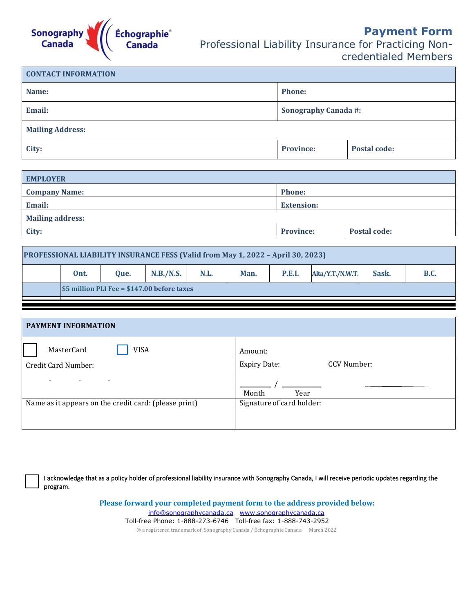

| <b>CONTACT INFORMATION</b> |                             |                     |  |  |
|----------------------------|-----------------------------|---------------------|--|--|
| Name:                      | <b>Phone:</b>               |                     |  |  |
| Email:                     | <b>Sonography Canada #:</b> |                     |  |  |
| <b>Mailing Address:</b>    |                             |                     |  |  |
| City:                      | <b>Province:</b>            | <b>Postal code:</b> |  |  |

| <b>EMPLOYER</b>         |                   |              |  |
|-------------------------|-------------------|--------------|--|
| <b>Company Name:</b>    | <b>Phone:</b>     |              |  |
| Email:                  | <b>Extension:</b> |              |  |
| <b>Mailing address:</b> |                   |              |  |
| City:                   | <b>Province:</b>  | Postal code: |  |
|                         |                   |              |  |

| <b>PROFESSIONAL LIABILITY INSURANCE FESS (Valid from May 1, 2022 - April 30, 2023)</b> |                                             |      |           |      |      |               |                  |       |             |
|----------------------------------------------------------------------------------------|---------------------------------------------|------|-----------|------|------|---------------|------------------|-------|-------------|
|                                                                                        | Ont.                                        | Oue. | N.B./N.S. | N.L. | Man. | <b>P.E.I.</b> | Alta/Y.T./N.W.T. | Sask. | <b>B.C.</b> |
|                                                                                        | \$5 million PLI Fee = \$147.00 before taxes |      |           |      |      |               |                  |       |             |

| <b>PAYMENT INFORMATION</b>                            |                                    |
|-------------------------------------------------------|------------------------------------|
| MasterCard<br><b>VISA</b>                             | Amount:                            |
| Credit Card Number:                                   | CCV Number:<br><b>Expiry Date:</b> |
|                                                       | Month<br>Year                      |
| Name as it appears on the credit card: (please print) | Signature of card holder:          |
|                                                       |                                    |

I acknowledge that as a policy holder of professional liability insurance with Sonography Canada, I will receive periodic updates regarding the program.

> **Please forward your completed payment form to the address provided below:** [info@sonographycanada.ca www.sonographycanada.ca](about:blank) Toll-free Phone: 1-888-273-6746 Toll-free fax: 1-888-743-2952 ® a registered trademark of Sonography Canada / Échographie Canada March 2022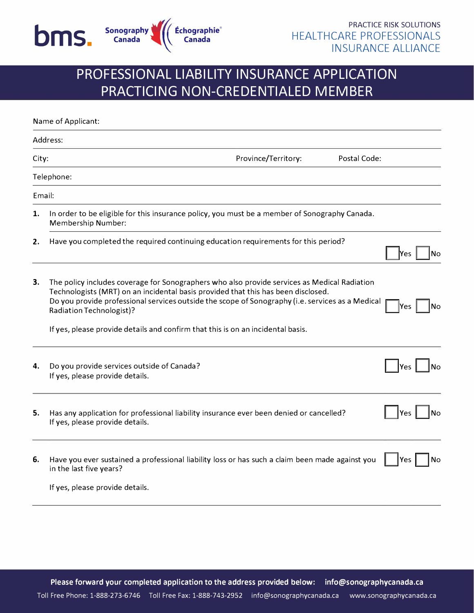

## **PROFESSIONAL LIABILITY INSURANCE APPLICATION PRACTICING NON-CREDENTIALED MEMBER**

| Name of Applicant: |                                                                                                                                                                                                                                                                                                                   |                     |              |                  |
|--------------------|-------------------------------------------------------------------------------------------------------------------------------------------------------------------------------------------------------------------------------------------------------------------------------------------------------------------|---------------------|--------------|------------------|
|                    | Address:                                                                                                                                                                                                                                                                                                          |                     |              |                  |
| City:              |                                                                                                                                                                                                                                                                                                                   | Province/Territory: | Postal Code: |                  |
|                    | Telephone:                                                                                                                                                                                                                                                                                                        |                     |              |                  |
| Email:             |                                                                                                                                                                                                                                                                                                                   |                     |              |                  |
| 1.                 | In order to be eligible for this insurance policy, you must be a member of Sonography Canada.<br>Membership Number:                                                                                                                                                                                               |                     |              |                  |
| 2.                 | Have you completed the required continuing education requirements for this period?                                                                                                                                                                                                                                |                     |              | <b>Nes</b><br>No |
| 3.                 | The policy includes coverage for Sonographers who also provide services as Medical Radiation<br>Technologists (MRT) on an incidental basis provided that this has been disclosed.<br>Do you provide professional services outside the scope of Sonography (i.e. services as a Medical<br>Radiation Technologist)? |                     |              | No<br>IYes       |
|                    | If yes, please provide details and confirm that this is on an incidental basis.                                                                                                                                                                                                                                   |                     |              |                  |
| 4.                 | Do you provide services outside of Canada?<br>If yes, please provide details.                                                                                                                                                                                                                                     |                     |              | Yes<br>No        |
| 5.                 | Has any application for professional liability insurance ever been denied or cancelled?<br>If yes, please provide details.                                                                                                                                                                                        |                     |              | Yes<br>Nο        |
| 6.                 | Have you ever sustained a professional liability loss or has such a claim been made against you<br>in the last five years?                                                                                                                                                                                        |                     |              | Yes<br>No        |
|                    | If yes, please provide details.                                                                                                                                                                                                                                                                                   |                     |              |                  |